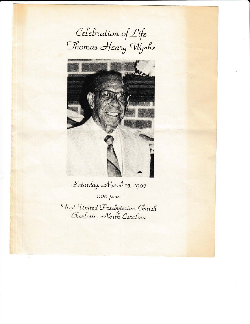Celebration of Life Thomas Henry Wyche



Saturday, March 15, 1997 1:00 p.m. Hirst United Presbyterian Church<br>Charlotte, North Carolina